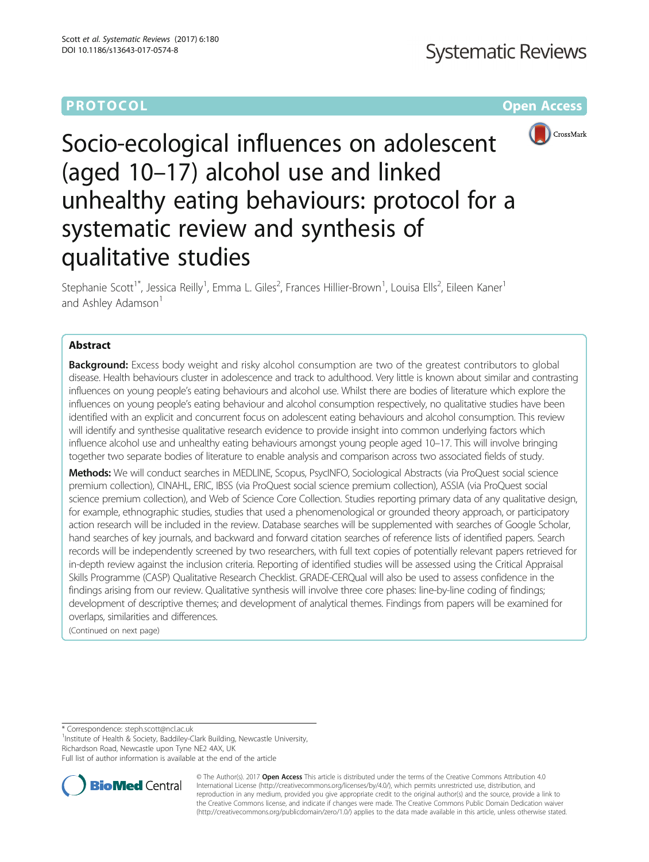# **PROTOCOL CONSUMING THE OPEN ACCESS**



# Socio-ecological influences on adolescent (aged 10–17) alcohol use and linked unhealthy eating behaviours: protocol for a systematic review and synthesis of qualitative studies

Stephanie Scott<sup>1\*</sup>, Jessica Reilly<sup>1</sup>, Emma L. Giles<sup>2</sup>, Frances Hillier-Brown<sup>1</sup>, Louisa Ells<sup>2</sup>, Eileen Kaner<sup>1</sup> and Ashley Adamson<sup>1</sup>

# Abstract

**Background:** Excess body weight and risky alcohol consumption are two of the greatest contributors to global disease. Health behaviours cluster in adolescence and track to adulthood. Very little is known about similar and contrasting influences on young people's eating behaviours and alcohol use. Whilst there are bodies of literature which explore the influences on young people's eating behaviour and alcohol consumption respectively, no qualitative studies have been identified with an explicit and concurrent focus on adolescent eating behaviours and alcohol consumption. This review will identify and synthesise qualitative research evidence to provide insight into common underlying factors which influence alcohol use and unhealthy eating behaviours amongst young people aged 10–17. This will involve bringing together two separate bodies of literature to enable analysis and comparison across two associated fields of study.

Methods: We will conduct searches in MEDLINE, Scopus, PsycINFO, Sociological Abstracts (via ProQuest social science premium collection), CINAHL, ERIC, IBSS (via ProQuest social science premium collection), ASSIA (via ProQuest social science premium collection), and Web of Science Core Collection. Studies reporting primary data of any qualitative design, for example, ethnographic studies, studies that used a phenomenological or grounded theory approach, or participatory action research will be included in the review. Database searches will be supplemented with searches of Google Scholar, hand searches of key journals, and backward and forward citation searches of reference lists of identified papers. Search records will be independently screened by two researchers, with full text copies of potentially relevant papers retrieved for in-depth review against the inclusion criteria. Reporting of identified studies will be assessed using the Critical Appraisal Skills Programme (CASP) Qualitative Research Checklist. GRADE-CERQual will also be used to assess confidence in the findings arising from our review. Qualitative synthesis will involve three core phases: line-by-line coding of findings; development of descriptive themes; and development of analytical themes. Findings from papers will be examined for overlaps, similarities and differences.

(Continued on next page)

\* Correspondence: [steph.scott@ncl.ac.uk](mailto:steph.scott@ncl.ac.uk) <sup>1</sup>

<sup>1</sup> Institute of Health & Society, Baddiley-Clark Building, Newcastle University, Richardson Road, Newcastle upon Tyne NE2 4AX, UK

Full list of author information is available at the end of the article



© The Author(s). 2017 **Open Access** This article is distributed under the terms of the Creative Commons Attribution 4.0 International License [\(http://creativecommons.org/licenses/by/4.0/](http://creativecommons.org/licenses/by/4.0/)), which permits unrestricted use, distribution, and reproduction in any medium, provided you give appropriate credit to the original author(s) and the source, provide a link to the Creative Commons license, and indicate if changes were made. The Creative Commons Public Domain Dedication waiver [\(http://creativecommons.org/publicdomain/zero/1.0/](http://creativecommons.org/publicdomain/zero/1.0/)) applies to the data made available in this article, unless otherwise stated.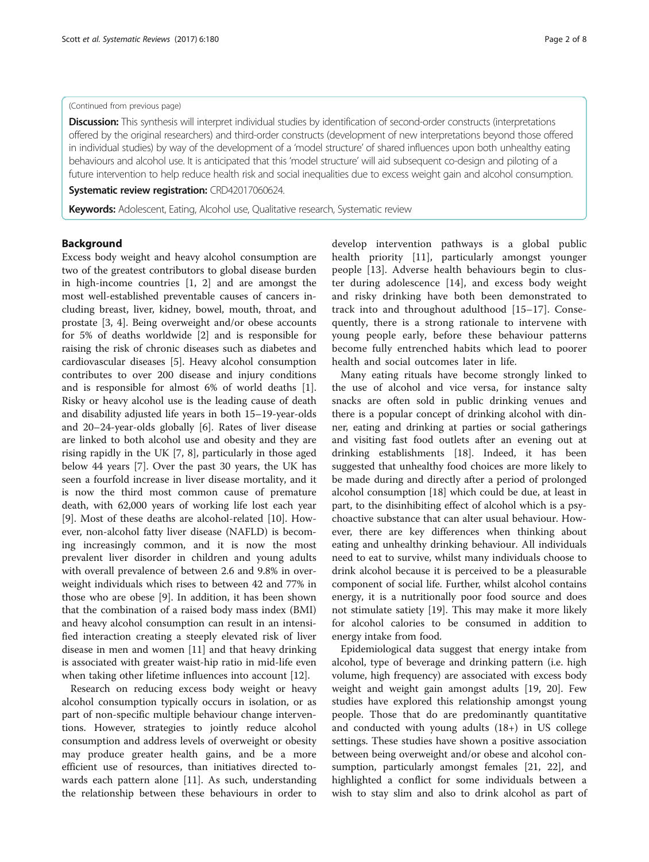#### (Continued from previous page)

**Discussion:** This synthesis will interpret individual studies by identification of second-order constructs (interpretations offered by the original researchers) and third-order constructs (development of new interpretations beyond those offered in individual studies) by way of the development of a 'model structure' of shared influences upon both unhealthy eating behaviours and alcohol use. It is anticipated that this 'model structure' will aid subsequent co-design and piloting of a future intervention to help reduce health risk and social inequalities due to excess weight gain and alcohol consumption.

Systematic review registration: [CRD42017060624.](http://www.crd.york.ac.uk/PROSPERO/display_record.asp?ID=CRD42017060624)

**Keywords:** Adolescent, Eating, Alcohol use, Qualitative research, Systematic review

## Background

Excess body weight and heavy alcohol consumption are two of the greatest contributors to global disease burden in high-income countries [\[1](#page-6-0), [2\]](#page-6-0) and are amongst the most well-established preventable causes of cancers including breast, liver, kidney, bowel, mouth, throat, and prostate [[3](#page-6-0), [4](#page-6-0)]. Being overweight and/or obese accounts for 5% of deaths worldwide [\[2\]](#page-6-0) and is responsible for raising the risk of chronic diseases such as diabetes and cardiovascular diseases [\[5](#page-6-0)]. Heavy alcohol consumption contributes to over 200 disease and injury conditions and is responsible for almost 6% of world deaths [\[1](#page-6-0)]. Risky or heavy alcohol use is the leading cause of death and disability adjusted life years in both 15–19-year-olds and 20–24-year-olds globally [[6\]](#page-6-0). Rates of liver disease are linked to both alcohol use and obesity and they are rising rapidly in the UK [[7, 8](#page-6-0)], particularly in those aged below 44 years [\[7](#page-6-0)]. Over the past 30 years, the UK has seen a fourfold increase in liver disease mortality, and it is now the third most common cause of premature death, with 62,000 years of working life lost each year [[9\]](#page-6-0). Most of these deaths are alcohol-related [[10](#page-6-0)]. However, non-alcohol fatty liver disease (NAFLD) is becoming increasingly common, and it is now the most prevalent liver disorder in children and young adults with overall prevalence of between 2.6 and 9.8% in overweight individuals which rises to between 42 and 77% in those who are obese [[9\]](#page-6-0). In addition, it has been shown that the combination of a raised body mass index (BMI) and heavy alcohol consumption can result in an intensified interaction creating a steeply elevated risk of liver disease in men and women [[11\]](#page-6-0) and that heavy drinking is associated with greater waist-hip ratio in mid-life even when taking other lifetime influences into account [[12](#page-6-0)].

Research on reducing excess body weight or heavy alcohol consumption typically occurs in isolation, or as part of non-specific multiple behaviour change interventions. However, strategies to jointly reduce alcohol consumption and address levels of overweight or obesity may produce greater health gains, and be a more efficient use of resources, than initiatives directed towards each pattern alone [\[11](#page-6-0)]. As such, understanding the relationship between these behaviours in order to develop intervention pathways is a global public health priority [[11\]](#page-6-0), particularly amongst younger people [[13\]](#page-6-0). Adverse health behaviours begin to cluster during adolescence [[14\]](#page-6-0), and excess body weight and risky drinking have both been demonstrated to track into and throughout adulthood [[15](#page-6-0)–[17](#page-6-0)]. Consequently, there is a strong rationale to intervene with young people early, before these behaviour patterns become fully entrenched habits which lead to poorer health and social outcomes later in life.

Many eating rituals have become strongly linked to the use of alcohol and vice versa, for instance salty snacks are often sold in public drinking venues and there is a popular concept of drinking alcohol with dinner, eating and drinking at parties or social gatherings and visiting fast food outlets after an evening out at drinking establishments [[18\]](#page-6-0). Indeed, it has been suggested that unhealthy food choices are more likely to be made during and directly after a period of prolonged alcohol consumption [[18\]](#page-6-0) which could be due, at least in part, to the disinhibiting effect of alcohol which is a psychoactive substance that can alter usual behaviour. However, there are key differences when thinking about eating and unhealthy drinking behaviour. All individuals need to eat to survive, whilst many individuals choose to drink alcohol because it is perceived to be a pleasurable component of social life. Further, whilst alcohol contains energy, it is a nutritionally poor food source and does not stimulate satiety [\[19\]](#page-6-0). This may make it more likely for alcohol calories to be consumed in addition to energy intake from food.

Epidemiological data suggest that energy intake from alcohol, type of beverage and drinking pattern (i.e. high volume, high frequency) are associated with excess body weight and weight gain amongst adults [[19](#page-6-0), [20\]](#page-6-0). Few studies have explored this relationship amongst young people. Those that do are predominantly quantitative and conducted with young adults (18+) in US college settings. These studies have shown a positive association between being overweight and/or obese and alcohol consumption, particularly amongst females [\[21](#page-7-0), [22](#page-7-0)], and highlighted a conflict for some individuals between a wish to stay slim and also to drink alcohol as part of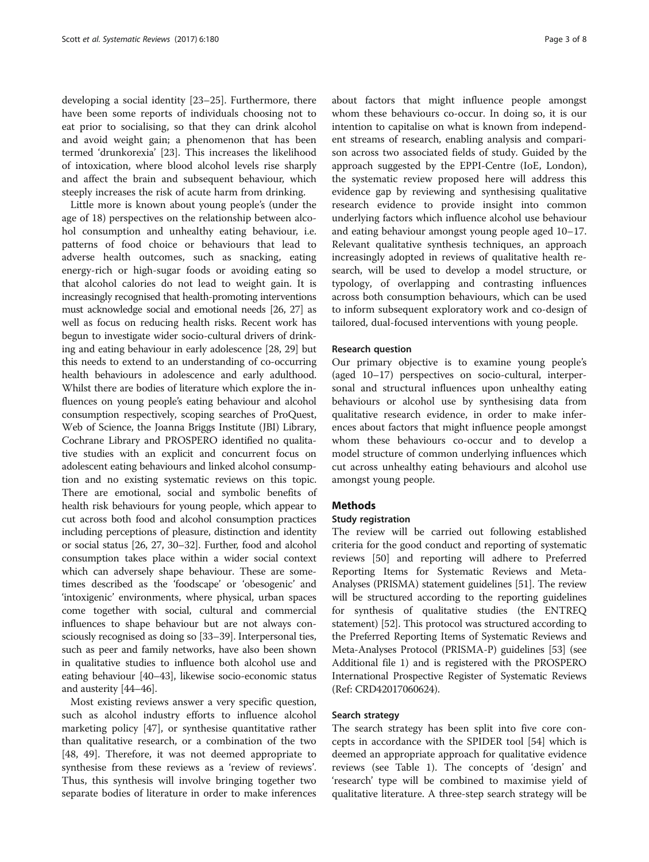developing a social identity [\[23](#page-7-0)–[25\]](#page-7-0). Furthermore, there have been some reports of individuals choosing not to eat prior to socialising, so that they can drink alcohol and avoid weight gain; a phenomenon that has been termed 'drunkorexia' [\[23](#page-7-0)]. This increases the likelihood of intoxication, where blood alcohol levels rise sharply and affect the brain and subsequent behaviour, which steeply increases the risk of acute harm from drinking.

Little more is known about young people's (under the age of 18) perspectives on the relationship between alcohol consumption and unhealthy eating behaviour, i.e. patterns of food choice or behaviours that lead to adverse health outcomes, such as snacking, eating energy-rich or high-sugar foods or avoiding eating so that alcohol calories do not lead to weight gain. It is increasingly recognised that health-promoting interventions must acknowledge social and emotional needs [[26](#page-7-0), [27\]](#page-7-0) as well as focus on reducing health risks. Recent work has begun to investigate wider socio-cultural drivers of drinking and eating behaviour in early adolescence [[28](#page-7-0), [29\]](#page-7-0) but this needs to extend to an understanding of co-occurring health behaviours in adolescence and early adulthood. Whilst there are bodies of literature which explore the influences on young people's eating behaviour and alcohol consumption respectively, scoping searches of ProQuest, Web of Science, the Joanna Briggs Institute (JBI) Library, Cochrane Library and PROSPERO identified no qualitative studies with an explicit and concurrent focus on adolescent eating behaviours and linked alcohol consumption and no existing systematic reviews on this topic. There are emotional, social and symbolic benefits of health risk behaviours for young people, which appear to cut across both food and alcohol consumption practices including perceptions of pleasure, distinction and identity or social status [[26](#page-7-0), [27](#page-7-0), [30](#page-7-0)–[32\]](#page-7-0). Further, food and alcohol consumption takes place within a wider social context which can adversely shape behaviour. These are sometimes described as the 'foodscape' or 'obesogenic' and 'intoxigenic' environments, where physical, urban spaces come together with social, cultural and commercial influences to shape behaviour but are not always consciously recognised as doing so [\[33](#page-7-0)–[39](#page-7-0)]. Interpersonal ties, such as peer and family networks, have also been shown in qualitative studies to influence both alcohol use and eating behaviour [\[40](#page-7-0)–[43](#page-7-0)], likewise socio-economic status and austerity [[44](#page-7-0)–[46\]](#page-7-0).

Most existing reviews answer a very specific question, such as alcohol industry efforts to influence alcohol marketing policy [[47](#page-7-0)], or synthesise quantitative rather than qualitative research, or a combination of the two [[48, 49\]](#page-7-0). Therefore, it was not deemed appropriate to synthesise from these reviews as a 'review of reviews'. Thus, this synthesis will involve bringing together two separate bodies of literature in order to make inferences about factors that might influence people amongst whom these behaviours co-occur. In doing so, it is our intention to capitalise on what is known from independent streams of research, enabling analysis and comparison across two associated fields of study. Guided by the approach suggested by the EPPI-Centre (IoE, London), the systematic review proposed here will address this evidence gap by reviewing and synthesising qualitative research evidence to provide insight into common underlying factors which influence alcohol use behaviour and eating behaviour amongst young people aged 10–17. Relevant qualitative synthesis techniques, an approach increasingly adopted in reviews of qualitative health research, will be used to develop a model structure, or typology, of overlapping and contrasting influences across both consumption behaviours, which can be used to inform subsequent exploratory work and co-design of tailored, dual-focused interventions with young people.

#### Research question

Our primary objective is to examine young people's (aged 10–17) perspectives on socio-cultural, interpersonal and structural influences upon unhealthy eating behaviours or alcohol use by synthesising data from qualitative research evidence, in order to make inferences about factors that might influence people amongst whom these behaviours co-occur and to develop a model structure of common underlying influences which cut across unhealthy eating behaviours and alcohol use amongst young people.

# Methods

### Study registration

The review will be carried out following established criteria for the good conduct and reporting of systematic reviews [[50\]](#page-7-0) and reporting will adhere to Preferred Reporting Items for Systematic Reviews and Meta-Analyses (PRISMA) statement guidelines [[51](#page-7-0)]. The review will be structured according to the reporting guidelines for synthesis of qualitative studies (the ENTREQ statement) [[52](#page-7-0)]. This protocol was structured according to the Preferred Reporting Items of Systematic Reviews and Meta-Analyses Protocol (PRISMA-P) guidelines [[53](#page-7-0)] (see Additional file [1](#page-6-0)) and is registered with the PROSPERO International Prospective Register of Systematic Reviews (Ref: CRD42017060624).

#### Search strategy

The search strategy has been split into five core concepts in accordance with the SPIDER tool [[54](#page-7-0)] which is deemed an appropriate approach for qualitative evidence reviews (see Table [1](#page-3-0)). The concepts of 'design' and 'research' type will be combined to maximise yield of qualitative literature. A three-step search strategy will be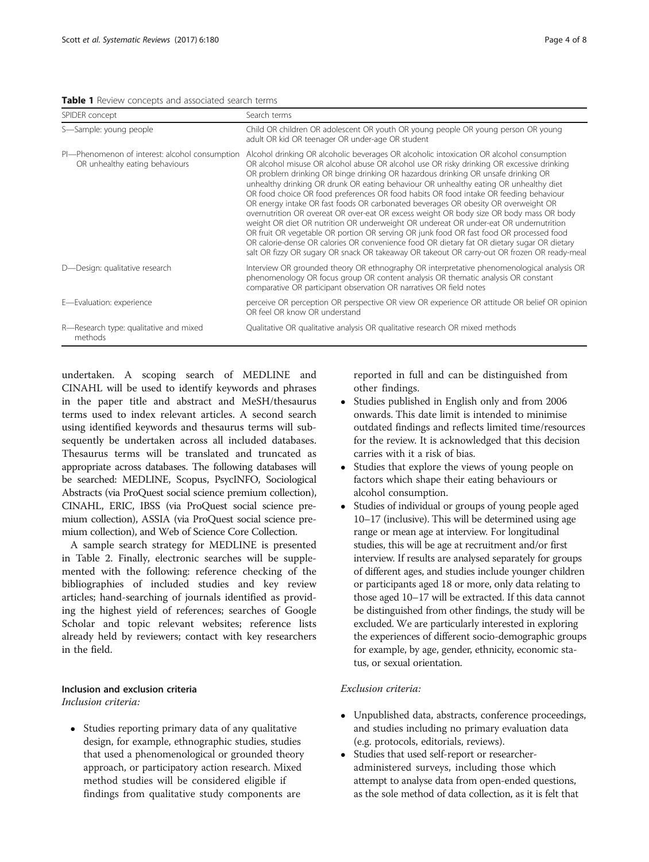<span id="page-3-0"></span>Table 1 Review concepts and associated search terms

| SPIDER concept                                                                   | Search terms                                                                                                                                                                                                                                                                                                                                                                                                                                                                                                                                                                                                                                                                                                                                                                                                                                                                                                                                                                                                                     |
|----------------------------------------------------------------------------------|----------------------------------------------------------------------------------------------------------------------------------------------------------------------------------------------------------------------------------------------------------------------------------------------------------------------------------------------------------------------------------------------------------------------------------------------------------------------------------------------------------------------------------------------------------------------------------------------------------------------------------------------------------------------------------------------------------------------------------------------------------------------------------------------------------------------------------------------------------------------------------------------------------------------------------------------------------------------------------------------------------------------------------|
| S-Sample: young people                                                           | Child OR children OR adolescent OR youth OR young people OR young person OR young<br>adult OR kid OR teenager OR under-age OR student                                                                                                                                                                                                                                                                                                                                                                                                                                                                                                                                                                                                                                                                                                                                                                                                                                                                                            |
| PI-Phenomenon of interest: alcohol consumption<br>OR unhealthy eating behaviours | Alcohol drinking OR alcoholic beverages OR alcoholic intoxication OR alcohol consumption<br>OR alcohol misuse OR alcohol abuse OR alcohol use OR risky drinking OR excessive drinking<br>OR problem drinking OR binge drinking OR hazardous drinking OR unsafe drinking OR<br>unhealthy drinking OR drunk OR eating behaviour OR unhealthy eating OR unhealthy diet<br>OR food choice OR food preferences OR food habits OR food intake OR feeding behaviour<br>OR energy intake OR fast foods OR carbonated beverages OR obesity OR overweight OR<br>overnutrition OR overeat OR over-eat OR excess weight OR body size OR body mass OR body<br>weight OR diet OR nutrition OR underweight OR undereat OR under-eat OR undernutrition<br>OR fruit OR vegetable OR portion OR serving OR junk food OR fast food OR processed food<br>OR calorie-dense OR calories OR convenience food OR dietary fat OR dietary sugar OR dietary<br>salt OR fizzy OR sugary OR snack OR takeaway OR takeout OR carry-out OR frozen OR ready-meal |
| D-Design: qualitative research                                                   | Interview OR grounded theory OR ethnography OR interpretative phenomenological analysis OR<br>phenomenology OR focus group OR content analysis OR thematic analysis OR constant<br>comparative OR participant observation OR narratives OR field notes                                                                                                                                                                                                                                                                                                                                                                                                                                                                                                                                                                                                                                                                                                                                                                           |
| E-Evaluation: experience                                                         | perceive OR perception OR perspective OR view OR experience OR attitude OR belief OR opinion<br>OR feel OR know OR understand                                                                                                                                                                                                                                                                                                                                                                                                                                                                                                                                                                                                                                                                                                                                                                                                                                                                                                    |
| R-Research type: qualitative and mixed<br>methods                                | Qualitative OR qualitative analysis OR qualitative research OR mixed methods                                                                                                                                                                                                                                                                                                                                                                                                                                                                                                                                                                                                                                                                                                                                                                                                                                                                                                                                                     |

undertaken. A scoping search of MEDLINE and CINAHL will be used to identify keywords and phrases in the paper title and abstract and MeSH/thesaurus terms used to index relevant articles. A second search using identified keywords and thesaurus terms will subsequently be undertaken across all included databases. Thesaurus terms will be translated and truncated as appropriate across databases. The following databases will be searched: MEDLINE, Scopus, PsycINFO, Sociological Abstracts (via ProQuest social science premium collection), CINAHL, ERIC, IBSS (via ProQuest social science premium collection), ASSIA (via ProQuest social science premium collection), and Web of Science Core Collection.

A sample search strategy for MEDLINE is presented in Table [2](#page-4-0). Finally, electronic searches will be supplemented with the following: reference checking of the bibliographies of included studies and key review articles; hand-searching of journals identified as providing the highest yield of references; searches of Google Scholar and topic relevant websites; reference lists already held by reviewers; contact with key researchers in the field.

# Inclusion and exclusion criteria

Inclusion criteria:

• Studies reporting primary data of any qualitative design, for example, ethnographic studies, studies that used a phenomenological or grounded theory approach, or participatory action research. Mixed method studies will be considered eligible if findings from qualitative study components are

reported in full and can be distinguished from other findings.

- Studies published in English only and from 2006 onwards. This date limit is intended to minimise outdated findings and reflects limited time/resources for the review. It is acknowledged that this decision carries with it a risk of bias.
- Studies that explore the views of young people on factors which shape their eating behaviours or alcohol consumption.
- Studies of individual or groups of young people aged 10–17 (inclusive). This will be determined using age range or mean age at interview. For longitudinal studies, this will be age at recruitment and/or first interview. If results are analysed separately for groups of different ages, and studies include younger children or participants aged 18 or more, only data relating to those aged 10–17 will be extracted. If this data cannot be distinguished from other findings, the study will be excluded. We are particularly interested in exploring the experiences of different socio-demographic groups for example, by age, gender, ethnicity, economic status, or sexual orientation.

# Exclusion criteria:

- Unpublished data, abstracts, conference proceedings, and studies including no primary evaluation data (e.g. protocols, editorials, reviews).
- Studies that used self-report or researcheradministered surveys, including those which attempt to analyse data from open-ended questions, as the sole method of data collection, as it is felt that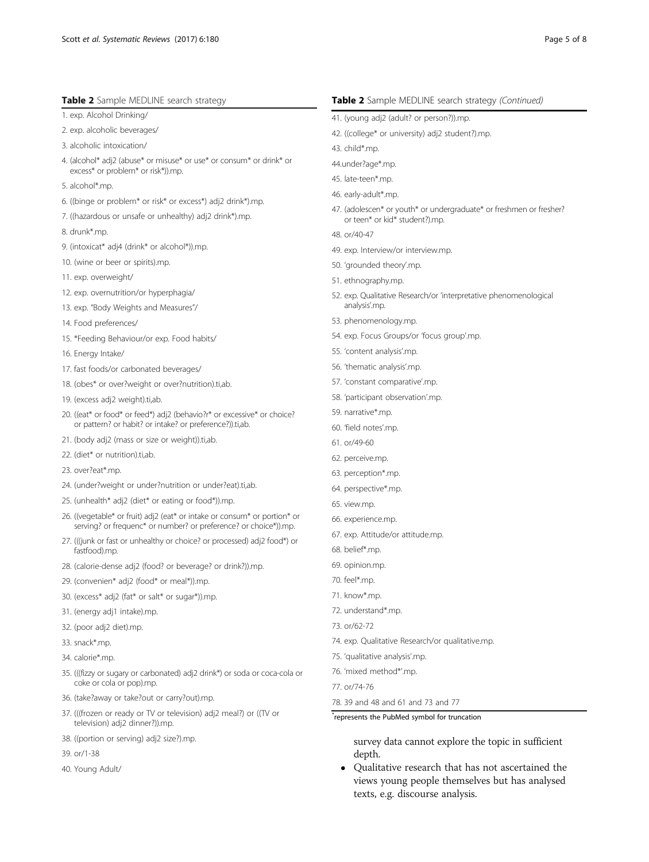# <span id="page-4-0"></span>Table 2 Sample MEDLINE search strategy

- 1. exp. Alcohol Drinking/
- 2. exp. alcoholic beverages/
- 3. alcoholic intoxication/
- 4. (alcohol\* adj2 (abuse\* or misuse\* or use\* or consum\* or drink\* or excess<sup>\*</sup> or problem<sup>\*</sup> or risk<sup>\*</sup>)).mp.
- 5. alcohol\*.mp.
- 6. ((binge or problem\* or risk\* or excess\*) adj2 drink\*).mp.
- 7. ((hazardous or unsafe or unhealthy) adj2 drink\*).mp.
- 8. drunk\*.mp.
- 9. (intoxicat\* adj4 (drink\* or alcohol\*)).mp.
- 10. (wine or beer or spirits).mp.
- 11. exp. overweight/
- 12. exp. overnutrition/or hyperphagia/
- 13. exp. "Body Weights and Measures"/
- 14. Food preferences/
- 15. \*Feeding Behaviour/or exp. Food habits/
- 16. Energy Intake/
- 17. fast foods/or carbonated beverages/
- 18. (obes\* or over?weight or over?nutrition).ti,ab.
- 19. (excess adj2 weight).ti,ab.
- 20. ((eat\* or food\* or feed\*) adj2 (behavio?r\* or excessive\* or choice? or pattern? or habit? or intake? or preference?)).ti,ab.
- 21. (body adj2 (mass or size or weight)).ti,ab.
- 22. (diet\* or nutrition).ti,ab.
- 23. over?eat\*.mp.
- 24. (under?weight or under?nutrition or under?eat).ti,ab.
- 25. (unhealth\* adj2 (diet\* or eating or food\*)).mp.
- 26. ((vegetable\* or fruit) adj2 (eat\* or intake or consum\* or portion\* or serving? or frequenc<sup>\*</sup> or number? or preference? or choice<sup>\*</sup>)).mp.
- 27. (((junk or fast or unhealthy or choice? or processed) adj2 food\*) or fastfood).mp.
- 28. (calorie-dense adj2 (food? or beverage? or drink?)).mp.
- 29. (convenien\* adj2 (food\* or meal\*)).mp.
- 30. (excess\* adj2 (fat\* or salt\* or sugar\*)).mp.
- 31. (energy adj1 intake).mp.
- 32. (poor adj2 diet).mp.
- 33. snack\*.mp.
- 34. calorie\*.mp.
- 35. (((fizzy or sugary or carbonated) adj2 drink\*) or soda or coca-cola or coke or cola or pop).mp.
- 36. (take?away or take?out or carry?out).mp.
- 37. (((frozen or ready or TV or television) adj2 meal?) or ((TV or television) adj2 dinner?)).mp.
- 38. ((portion or serving) adj2 size?).mp.
- 39. or/1-38
- 40. Young Adult/

# Table 2 Sample MEDLINE search strategy (Continued)

- 41. (young adj2 (adult? or person?)).mp.
- 42. ((college\* or university) adj2 student?).mp.
- 43. child\*.mp.
- 44.under?age\*.mp.
- 45. late-teen\*.mp.
- 46. early-adult\*.mp.
- 47. (adolescen\* or youth\* or undergraduate\* or freshmen or fresher? or teen\* or kid\* student?).mp.
- 48. or/40-47
- 49. exp. Interview/or interview.mp.
- 50. 'grounded theory'.mp.
- 51. ethnography.mp.
- 52. exp. Qualitative Research/or 'interpretative phenomenological analysis'.mp.
- 53. phenomenology.mp.
- 54. exp. Focus Groups/or 'focus group'.mp.
- 55. 'content analysis'.mp.
- 56. 'thematic analysis'.mp.
- 57. 'constant comparative'.mp.
- 58. 'participant observation'.mp.
- 59. narrative\*.mp.
- 60. 'field notes'.mp.
- 61. or/49-60
- 62. perceive.mp.
- 63. perception\*.mp.
- 64. perspective\*.mp.
- 65. view.mp.
- 66. experience.mp.
- 67. exp. Attitude/or attitude.mp.
- 68. belief\*.mp.
- 69. opinion.mp.
- 70. feel\*.mp.
- 71. know\*.mp.
- 72. understand\*.mp.
- 73. or/62-72
- 74. exp. Qualitative Research/or qualitative.mp.
- 75. 'qualitative analysis'.mp.
- 76. 'mixed method\*'.mp.
- 77. or/74-76
- 78. 39 and 48 and 61 and 73 and 77

\* represents the PubMed symbol for truncation

survey data cannot explore the topic in sufficient depth.

 Qualitative research that has not ascertained the views young people themselves but has analysed texts, e.g. discourse analysis.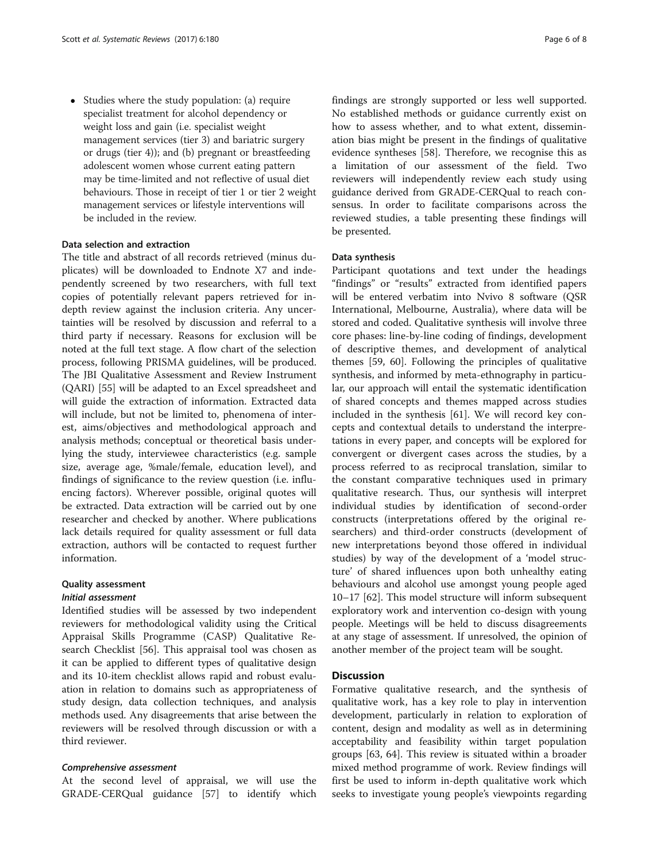• Studies where the study population: (a) require specialist treatment for alcohol dependency or weight loss and gain (i.e. specialist weight management services (tier 3) and bariatric surgery or drugs (tier 4)); and (b) pregnant or breastfeeding adolescent women whose current eating pattern may be time-limited and not reflective of usual diet behaviours. Those in receipt of tier 1 or tier 2 weight management services or lifestyle interventions will be included in the review.

#### Data selection and extraction

The title and abstract of all records retrieved (minus duplicates) will be downloaded to Endnote X7 and independently screened by two researchers, with full text copies of potentially relevant papers retrieved for indepth review against the inclusion criteria. Any uncertainties will be resolved by discussion and referral to a third party if necessary. Reasons for exclusion will be noted at the full text stage. A flow chart of the selection process, following PRISMA guidelines, will be produced. The JBI Qualitative Assessment and Review Instrument (QARI) [\[55](#page-7-0)] will be adapted to an Excel spreadsheet and will guide the extraction of information. Extracted data will include, but not be limited to, phenomena of interest, aims/objectives and methodological approach and analysis methods; conceptual or theoretical basis underlying the study, interviewee characteristics (e.g. sample size, average age, %male/female, education level), and findings of significance to the review question (i.e. influencing factors). Wherever possible, original quotes will be extracted. Data extraction will be carried out by one researcher and checked by another. Where publications lack details required for quality assessment or full data extraction, authors will be contacted to request further information.

# Quality assessment

# Initial assessment

Identified studies will be assessed by two independent reviewers for methodological validity using the Critical Appraisal Skills Programme (CASP) Qualitative Research Checklist [\[56\]](#page-7-0). This appraisal tool was chosen as it can be applied to different types of qualitative design and its 10-item checklist allows rapid and robust evaluation in relation to domains such as appropriateness of study design, data collection techniques, and analysis methods used. Any disagreements that arise between the reviewers will be resolved through discussion or with a third reviewer.

#### Comprehensive assessment

At the second level of appraisal, we will use the GRADE-CERQual guidance [\[57](#page-7-0)] to identify which findings are strongly supported or less well supported. No established methods or guidance currently exist on how to assess whether, and to what extent, dissemination bias might be present in the findings of qualitative evidence syntheses [\[58](#page-7-0)]. Therefore, we recognise this as a limitation of our assessment of the field. Two reviewers will independently review each study using guidance derived from GRADE-CERQual to reach consensus. In order to facilitate comparisons across the reviewed studies, a table presenting these findings will be presented.

#### Data synthesis

Participant quotations and text under the headings "findings" or "results" extracted from identified papers will be entered verbatim into Nvivo 8 software (QSR International, Melbourne, Australia), where data will be stored and coded. Qualitative synthesis will involve three core phases: line-by-line coding of findings, development of descriptive themes, and development of analytical themes [[59](#page-7-0), [60\]](#page-7-0). Following the principles of qualitative synthesis, and informed by meta-ethnography in particular, our approach will entail the systematic identification of shared concepts and themes mapped across studies included in the synthesis [\[61\]](#page-7-0). We will record key concepts and contextual details to understand the interpretations in every paper, and concepts will be explored for convergent or divergent cases across the studies, by a process referred to as reciprocal translation, similar to the constant comparative techniques used in primary qualitative research. Thus, our synthesis will interpret individual studies by identification of second-order constructs (interpretations offered by the original researchers) and third-order constructs (development of new interpretations beyond those offered in individual studies) by way of the development of a 'model structure' of shared influences upon both unhealthy eating behaviours and alcohol use amongst young people aged 10–17 [\[62](#page-7-0)]. This model structure will inform subsequent exploratory work and intervention co-design with young people. Meetings will be held to discuss disagreements at any stage of assessment. If unresolved, the opinion of another member of the project team will be sought.

## **Discussion**

Formative qualitative research, and the synthesis of qualitative work, has a key role to play in intervention development, particularly in relation to exploration of content, design and modality as well as in determining acceptability and feasibility within target population groups [\[63, 64](#page-7-0)]. This review is situated within a broader mixed method programme of work. Review findings will first be used to inform in-depth qualitative work which seeks to investigate young people's viewpoints regarding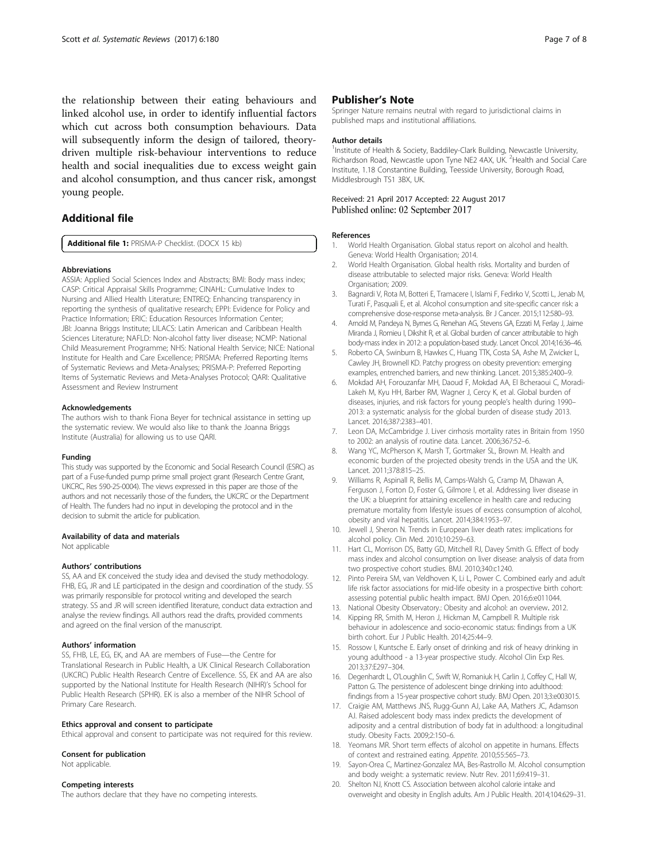<span id="page-6-0"></span>the relationship between their eating behaviours and linked alcohol use, in order to identify influential factors which cut across both consumption behaviours. Data will subsequently inform the design of tailored, theorydriven multiple risk-behaviour interventions to reduce health and social inequalities due to excess weight gain and alcohol consumption, and thus cancer risk, amongst young people.

# Additional file

[Additional file 1:](dx.doi.org/10.1186/s13643-017-0574-8) PRISMA-P Checklist. (DOCX 15 kb)

#### Abbreviations

ASSIA: Applied Social Sciences Index and Abstracts; BMI: Body mass index; CASP: Critical Appraisal Skills Programme; CINAHL: Cumulative Index to Nursing and Allied Health Literature; ENTREQ: Enhancing transparency in reporting the synthesis of qualitative research; EPPI: Evidence for Policy and Practice Information; ERIC: Education Resources Information Center; JBI: Joanna Briggs Institute; LILACS: Latin American and Caribbean Health Sciences Literature; NAFLD: Non-alcohol fatty liver disease; NCMP: National Child Measurement Programme; NHS: National Health Service; NICE: National Institute for Health and Care Excellence; PRISMA: Preferred Reporting Items of Systematic Reviews and Meta-Analyses; PRISMA-P: Preferred Reporting Items of Systematic Reviews and Meta-Analyses Protocol; QARI: Qualitative Assessment and Review Instrument

#### Acknowledgements

The authors wish to thank Fiona Beyer for technical assistance in setting up the systematic review. We would also like to thank the Joanna Briggs Institute (Australia) for allowing us to use QARI.

#### Funding

This study was supported by the Economic and Social Research Council (ESRC) as part of a Fuse-funded pump prime small project grant (Research Centre Grant, UKCRC, Res 590-25-0004). The views expressed in this paper are those of the authors and not necessarily those of the funders, the UKCRC or the Department of Health. The funders had no input in developing the protocol and in the decision to submit the article for publication.

#### Availability of data and materials

Not applicable

#### Authors' contributions

SS, AA and EK conceived the study idea and devised the study methodology. FHB, EG, JR and LE participated in the design and coordination of the study. SS was primarily responsible for protocol writing and developed the search strategy. SS and JR will screen identified literature, conduct data extraction and analyse the review findings. All authors read the drafts, provided comments and agreed on the final version of the manuscript.

#### Authors' information

SS, FHB, LE, EG, EK, and AA are members of Fuse—the Centre for Translational Research in Public Health, a UK Clinical Research Collaboration (UKCRC) Public Health Research Centre of Excellence. SS, EK and AA are also supported by the National Institute for Health Research (NIHR)'s School for Public Health Research (SPHR). EK is also a member of the NIHR School of Primary Care Research.

#### Ethics approval and consent to participate

Ethical approval and consent to participate was not required for this review.

#### Consent for publication

Not applicable.

#### Competing interests

The authors declare that they have no competing interests.

#### Publisher's Note

Springer Nature remains neutral with regard to jurisdictional claims in published maps and institutional affiliations.

#### Author details

<sup>1</sup>Institute of Health & Society, Baddiley-Clark Building, Newcastle University, Richardson Road, Newcastle upon Tyne NE2 4AX, UK. <sup>2</sup> Health and Social Care Institute, 1.18 Constantine Building, Teesside University, Borough Road, Middlesbrough TS1 3BX, UK.

#### Received: 21 April 2017 Accepted: 22 August 2017 Published online: 02 September 2017

#### References

- 1. World Health Organisation. Global status report on alcohol and health. Geneva: World Health Organisation; 2014.
- 2. World Health Organisation. Global health risks. Mortality and burden of disease attributable to selected major risks. Geneva: World Health Organisation; 2009.
- 3. Bagnardi V, Rota M, Botteri E, Tramacere I, Islami F, Fedirko V, Scotti L, Jenab M, Turati F, Pasquali E, et al. Alcohol consumption and site-specific cancer risk: a comprehensive dose-response meta-analysis. Br J Cancer. 2015;112:580–93.
- 4. Arnold M, Pandeya N, Byrnes G, Renehan AG, Stevens GA, Ezzati M, Ferlay J, Jaime Miranda J, Romieu I, Dikshit R, et al. Global burden of cancer attributable to high body-mass index in 2012: a population-based study. Lancet Oncol. 2014;16:36–46.
- 5. Roberto CA, Swinburn B, Hawkes C, Huang TTK, Costa SA, Ashe M, Zwicker L, Cawley JH, Brownell KD. Patchy progress on obesity prevention: emerging examples, entrenched barriers, and new thinking. Lancet. 2015;385:2400–9.
- 6. Mokdad AH, Forouzanfar MH, Daoud F, Mokdad AA, El Bcheraoui C, Moradi-Lakeh M, Kyu HH, Barber RM, Wagner J, Cercy K, et al. Global burden of diseases, injuries, and risk factors for young people's health during 1990– 2013: a systematic analysis for the global burden of disease study 2013. Lancet. 2016;387:2383–401.
- 7. Leon DA, McCambridge J. Liver cirrhosis mortality rates in Britain from 1950 to 2002: an analysis of routine data. Lancet. 2006;367:52–6.
- 8. Wang YC, McPherson K, Marsh T, Gortmaker SL, Brown M. Health and economic burden of the projected obesity trends in the USA and the UK. Lancet. 2011;378:815–25.
- 9. Williams R, Aspinall R, Bellis M, Camps-Walsh G, Cramp M, Dhawan A, Ferguson J, Forton D, Foster G, Gilmore I, et al. Addressing liver disease in the UK: a blueprint for attaining excellence in health care and reducing premature mortality from lifestyle issues of excess consumption of alcohol, obesity and viral hepatitis. Lancet. 2014;384:1953–97.
- 10. Jewell J, Sheron N. Trends in European liver death rates: implications for alcohol policy. Clin Med. 2010;10:259–63.
- 11. Hart CL, Morrison DS, Batty GD, Mitchell RJ, Davey Smith G. Effect of body mass index and alcohol consumption on liver disease: analysis of data from two prospective cohort studies. BMJ. 2010;340:c1240.
- 12. Pinto Pereira SM, van Veldhoven K, Li L, Power C. Combined early and adult life risk factor associations for mid-life obesity in a prospective birth cohort: assessing potential public health impact. BMJ Open. 2016;6:e011044.
- 13. National Obesity Observatory.: Obesity and alcohol: an overview. 2012.
- 14. Kipping RR, Smith M, Heron J, Hickman M, Campbell R. Multiple risk behaviour in adolescence and socio-economic status: findings from a UK birth cohort. Eur J Public Health. 2014;25:44–9.
- 15. Rossow I, Kuntsche E. Early onset of drinking and risk of heavy drinking in young adulthood - a 13-year prospective study. Alcohol Clin Exp Res. 2013;37:E297–304.
- 16. Degenhardt L, O'Loughlin C, Swift W, Romaniuk H, Carlin J, Coffey C, Hall W, Patton G. The persistence of adolescent binge drinking into adulthood: findings from a 15-year prospective cohort study. BMJ Open. 2013;3:e003015.
- 17. Craigie AM, Matthews JNS, Rugg-Gunn AJ, Lake AA, Mathers JC, Adamson AJ. Raised adolescent body mass index predicts the development of adiposity and a central distribution of body fat in adulthood: a longitudinal study. Obesity Facts. 2009;2:150–6.
- 18. Yeomans MR. Short term effects of alcohol on appetite in humans. Effects of context and restrained eating. Appetite. 2010;55:565–73.
- 19. Sayon-Orea C, Martinez-Gonzalez MA, Bes-Rastrollo M. Alcohol consumption and body weight: a systematic review. Nutr Rev. 2011;69:419–31.
- 20. Shelton NJ, Knott CS. Association between alcohol calorie intake and overweight and obesity in English adults. Am J Public Health. 2014;104:629–31.